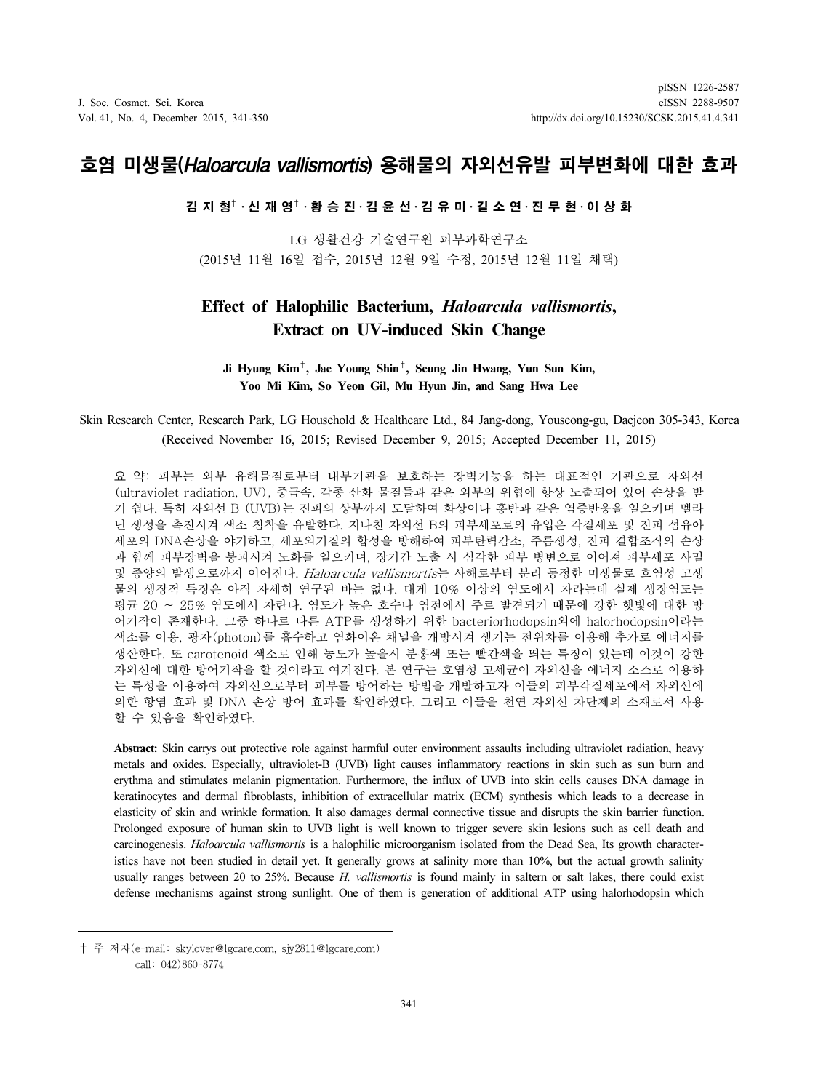# 호염 미생물(Haloarcula vallismortis) 용해물의 자외선유발 피부변화에 대한 효과

김 지 형†⋅신 재 영†⋅황 승 진⋅김 윤 선⋅김 유 미⋅길 소 연⋅진 무 현⋅이 상 화

LG 생활건강 기술연구원 피부과학연구소 (2015년 11월 16일 접수, 2015년 12월 9일 수정, 2015년 12월 11일 채택)

# Effect of Halophilic Bacterium, Haloarcula vallismortis, Extract on UV-induced Skin Change

#### Ji Hyung Kim†, Jae Young Shin†, Seung Jin Hwang, Yun Sun Kim, Yoo Mi Kim, So Yeon Gil, Mu Hyun Jin, and Sang Hwa Lee

### Skin Research Center, Research Park, LG Household & Healthcare Ltd., 84 Jang-dong, Youseong-gu, Daejeon 305-343, Korea (Received November 16, 2015; Revised December 9, 2015; Accepted December 11, 2015)

요 약: 피부는 외부 유해물질로부터 내부기관을 보호하는 장벽기능을 하는 대표적인 기관으로 자외선 (ultraviolet radiation, UV), 중금속, 각종 산화 물질들과 같은 외부의 위협에 항상 노출되어 있어 손상을 받 기 쉽다. 특히 자외선 B (UVB)는 진피의 상부까지 도달하여 화상이나 홍반과 같은 염증반응을 일으키며 멜라 닌 생성을 촉진시켜 색소 침착을 유발한다. 지나친 자외선 B의 피부세포로의 유입은 각질세포 및 진피 섬유아 세포의 DNA손상을 야기하고, 세포외기질의 합성을 방해하여 피부탄력감소, 주름생성, 진피 결합조직의 손상 과 함께 피부장벽을 붕괴시켜 노화를 일으키며, 장기간 노출 시 심각한 피부 병변으로 이어져 피부세포 사멸 및 종양의 발생으로까지 이어진다. Haloarcula vallismortis는 사해로부터 분리 동정한 미생물로 호염성 고생 물의 생장적 특징은 아직 자세히 연구된 바는 없다. 대게 10% 이상의 염도에서 자라는데 실제 생장염도는 평균 20 ∼ 25% 염도에서 자란다. 염도가 높은 호수나 염전에서 주로 발견되기 때문에 강한 햇빛에 대한 방 어기작이 존재한다. 그중 하나로 다른 ATP를 생성하기 위한 bacteriorhodopsin외에 halorhodopsin이라는 색소를 이용, 광자(photon)를 흡수하고 염화이온 채널을 개방시켜 생기는 전위차를 이용해 추가로 에너지를 생산한다. 또 carotenoid 색소로 인해 농도가 높을시 분홍색 또는 빨간색을 띄는 특징이 있는데 이것이 강한 자외선에 대한 방어기작을 할 것이라고 여겨진다. 본 연구는 호염성 고세균이 자외선을 에너지 소스로 이용하 는 특성을 이용하여 자외선으로부터 피부를 방어하는 방법을 개발하고자 이들의 피부각질세포에서 자외선에 의한 항염 효과 및 DNA 손상 방어 효과를 확인하였다. 그리고 이들을 천연 자외선 차단제의 소재로서 사용 할 수 있음을 확인하였다.

Abstract: Skin carrys out protective role against harmful outer environment assaults including ultraviolet radiation, heavy metals and oxides. Especially, ultraviolet-B (UVB) light causes inflammatory reactions in skin such as sun burn and erythma and stimulates melanin pigmentation. Furthermore, the influx of UVB into skin cells causes DNA damage in keratinocytes and dermal fibroblasts, inhibition of extracellular matrix (ECM) synthesis which leads to a decrease in elasticity of skin and wrinkle formation. It also damages dermal connective tissue and disrupts the skin barrier function. Prolonged exposure of human skin to UVB light is well known to trigger severe skin lesions such as cell death and carcinogenesis. Haloarcula vallismortis is a halophilic microorganism isolated from the Dead Sea, Its growth characteristics have not been studied in detail yet. It generally grows at salinity more than 10%, but the actual growth salinity usually ranges between 20 to 25%. Because  $H.$  vallismortis is found mainly in saltern or salt lakes, there could exist defense mechanisms against strong sunlight. One of them is generation of additional ATP using halorhodopsin which

<sup>†</sup> 주 저자(e-mail: skylover@lgcare.com, sjy2811@lgcare.com) call: 042)860-8774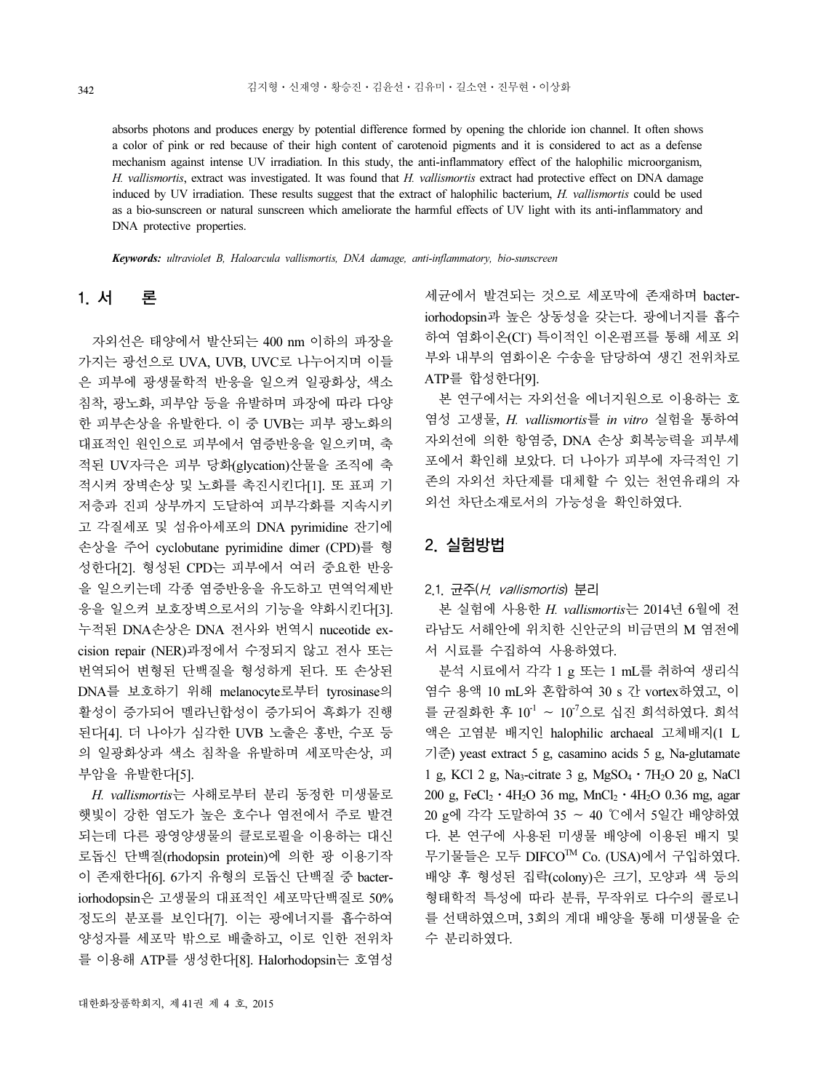absorbs photons and produces energy by potential difference formed by opening the chloride ion channel. It often shows a color of pink or red because of their high content of carotenoid pigments and it is considered to act as a defense mechanism against intense UV irradiation. In this study, the anti-inflammatory effect of the halophilic microorganism, H. vallismortis, extract was investigated. It was found that H. vallismortis extract had protective effect on DNA damage induced by UV irradiation. These results suggest that the extract of halophilic bacterium, H. vallismortis could be used as a bio-sunscreen or natural sunscreen which ameliorate the harmful effects of UV light with its anti-inflammatory and DNA protective properties.

Keywords: ultraviolet B, Haloarcula vallismortis, DNA damage, anti-inflammatory, bio-sunscreen

# 1. 서 론

자외선은 태양에서 발산되는 400 nm 이하의 파장을 가지는 광선으로 UVA, UVB, UVC로 나누어지며 이들 은 피부에 광생물학적 반응을 일으켜 일광화상, 색소 침착, 광노화, 피부암 등을 유발하며 파장에 따라 다양 한 피부손상을 유발한다. 이 중 UVB는 피부 광노화의 대표적인 원인으로 피부에서 염증반응을 일으키며, 축 적된 UV자극은 피부 당화(glycation)산물을 조직에 축 적시켜 장벽손상 및 노화를 촉진시킨다[1]. 또 표피 기 저층과 진피 상부까지 도달하여 피부각화를 지속시키 고 각질세포 및 섬유아세포의 DNA pyrimidine 잔기에 손상을 주어 cyclobutane pyrimidine dimer (CPD)를 형 성한다[2]. 형성된 CPD는 피부에서 여러 중요한 반응 을 일으키는데 각종 염증반응을 유도하고 면역억제반 응을 일으켜 보호장벽으로서의 기능을 약화시킨다[3]. 누적된 DNA손상은 DNA 전사와 번역시 nuceotide excision repair (NER)과정에서 수정되지 않고 전사 또는 번역되어 변형된 단백질을 형성하게 된다. 또 손상된 DNA를 보호하기 위해 melanocyte로부터 tyrosinase의 활성이 증가되어 멜라닌합성이 증가되어 흑화가 진행 된다[4]. 더 나아가 심각한 UVB 노출은 홍반, 수포 등 의 일광화상과 색소 침착을 유발하며 세포막손상, 피 부암을 유발한다[5].

H. vallismortis는 사해로부터 분리 동정한 미생물로 햇빛이 강한 염도가 높은 호수나 염전에서 주로 발견 되는데 다른 광영양생물의 클로로필을 이용하는 대신 로돕신 단백질(rhodopsin protein)에 의한 광 이용기작 이 존재한다[6]. 6가지 유형의 로돕신 단백질 중 bacteriorhodopsin은 고생물의 대표적인 세포막단백질로 50% 정도의 분포를 보인다[7]. 이는 광에너지를 흡수하여 양성자를 세포막 밖으로 배출하고, 이로 인한 전위차 를 이용해 ATP를 생성한다[8]. Halorhodopsin는 호염성

세균에서 발견되는 것으로 세포막에 존재하며 bacteriorhodopsin과 높은 상동성을 갖는다. 광에너지를 흡수 하여 염화이온(Cl<sup>-</sup>) 특이적인 이온펌프를 통해 세포 외 부와 내부의 염화이온 수송을 담당하여 생긴 전위차로 ATP를 합성한다[9].

본 연구에서는 자외선을 에너지원으로 이용하는 호 염성 고생물, H. vallismortis를 in vitro 실험을 통하여 자외선에 의한 항염증, DNA 손상 회복능력을 피부세 포에서 확인해 보았다. 더 나아가 피부에 자극적인 기 존의 자외선 차단제를 대체할 수 있는 천연유래의 자 외선 차단소재로서의 가능성을 확인하였다.

### 2. 실험방법

#### 2.1. 균주(H. vallismortis) 분리

본 실험에 사용한 H. vallismortis는 2014년 6월에 전 라남도 서해안에 위치한 신안군의 비금면의 M 염전에 서 시료를 수집하여 사용하였다.

분석 시료에서 각각 1 g 또는 1 mL를 취하여 생리식 염수 용액 10 mL와 혼합하여 30 s 간 vortex하였고, 이 를 균질화한 후 10-1 ∼ 10-7으로 십진 희석하였다. 희석 액은 고염분 배지인 halophilic archaeal 고체배지(1 L 기준) yeast extract 5 g, casamino acids 5 g, Na-glutamate 7  $\exists$  yeast extract 5 g, casamino acids 5 g, Na-glutamate<br>1 g, KCl 2 g, Na<sub>3</sub>-citrate 3 g, MgSO<sub>4</sub> · 7H<sub>2</sub>O 20 g, NaCl 1 g, KCl 2 g, Na<sub>3</sub>-citrate 3 g, MgSO<sub>4</sub> · 7H<sub>2</sub>O 20 g, NaCl 200 g, FeCl<sub>2</sub> · 4H<sub>2</sub>O 36 mg, MnCl<sub>2</sub> · 4H<sub>2</sub>O 0.36 mg, agar 20 g에 각각 도말하여 35 ∼ 40 ℃에서 5일간 배양하였 다. 본 연구에 사용된 미생물 배양에 이용된 배지 및 무기물들은 모두 DIFCOTM Co. (USA)에서 구입하였다. 배양 후 형성된 집락(colony)은 크기, 모양과 색 등의 형태학적 특성에 따라 분류, 무작위로 다수의 콜로니 를 선택하였으며, 3회의 계대 배양을 통해 미생물을 순 수 분리하였다.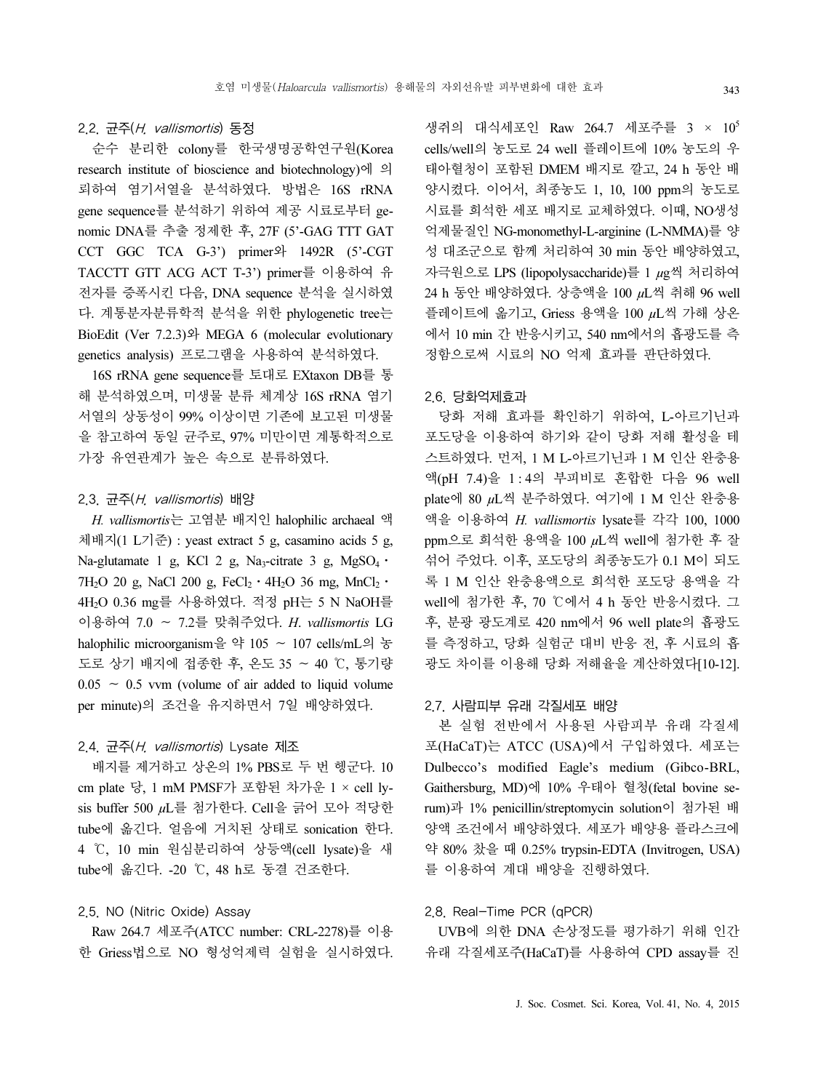#### 2.2. 균주(H. vallismortis) 동정

순수 분리한 colony를 한국생명공학연구원(Korea research institute of bioscience and biotechnology)에 의 뢰하여 염기서열을 분석하였다. 방법은 16S rRNA gene sequence를 분석하기 위하여 제공 시료로부터 genomic DNA를 추출 정제한 후, 27F (5'-GAG TTT GAT CCT GGC TCA G-3') primer와 1492R (5'-CGT TACCTT GTT ACG ACT T-3') primer를 이용하여 유 전자를 증폭시킨 다음, DNA sequence 분석을 실시하였 다. 계통분자분류학적 분석을 위한 phylogenetic tree는 BioEdit (Ver 7.2.3)와 MEGA 6 (molecular evolutionary genetics analysis) 프로그램을 사용하여 분석하였다.

16S rRNA gene sequence를 토대로 EXtaxon DB를 통 해 분석하였으며, 미생물 분류 체계상 16S rRNA 염기 서열의 상동성이 99% 이상이면 기존에 보고된 미생물 을 참고하여 동일 균주로, 97% 미만이면 계통학적으로 가장 유연관계가 높은 속으로 분류하였다.

#### 2.3. 균주(H. vallismortis) 배양

H. vallismortis는 고염분 배지인 halophilic archaeal 액 체배지(1 L기준) : yeast extract 5 g, casamino acids 5 g, Na-glutamate 1 g, KCl 2 g, Na<sub>3</sub>-citrate 3 g, MgSO<sub>4</sub> · Na-glutamate 1 g, KCl 2 g, Na<sub>3</sub>-citrate 3 g, MgSO<sub>4</sub> · 7H<sub>2</sub>O 20 g, NaCl 200 g, FeCl<sub>2</sub> · 4H<sub>2</sub>O 36 mg, MnCl<sub>2</sub> · 4H2O 0.36 mg를 사용하였다. 적정 pH는 5 N NaOH를 이용하여 7.0 ∼ 7.2를 맞춰주었다. H. vallismortis LG halophilic microorganism을 약 105 ∼ 107 cells/mL의 농 도로 상기 배지에 접종한 후, 온도 35 ∼ 40 ℃, 통기량  $0.05 \sim 0.5$  vvm (volume of air added to liquid volume per minute)의 조건을 유지하면서 7일 배양하였다.

#### 2.4. 균주(H. vallismortis) Lysate 제조

배지를 제거하고 상온의 1% PBS로 두 번 헹군다. 10 cm plate 당, 1 mM PMSF가 포함된 차가운 1 × cell lysis buffer 500 µL를 첨가한다. Cell을 긁어 모아 적당한 tube에 옮긴다. 얼음에 거치된 상태로 sonication 한다. 4 ℃, 10 min 원심분리하여 상등액(cell lysate)을 새 tube에 옮긴다. -20 ℃, 48 h로 동결 건조한다.

### 2.5. NO (Nitric Oxide) Assay

Raw 264.7 세포주(ATCC number: CRL-2278)를 이용 한 Griess법으로 NO 형성억제력 실험을 실시하였다.

생쥐의 대식세포인 Raw 264.7 세포주를 3 × 105 cells/well의 농도로 24 well 플레이트에 10% 농도의 우 태아혈청이 포함된 DMEM 배지로 깔고, 24 h 동안 배 양시켰다. 이어서, 최종농도 1, 10, 100 ppm의 농도로 시료를 희석한 세포 배지로 교체하였다. 이때, NO생성 억제물질인 NG-monomethyl-L-arginine (L-NMMA)를 양 성 대조군으로 함께 처리하여 30 min 동안 배양하였고, 자극원으로 LPS (lipopolysaccharide)를 1 µg씩 처리하여 24 h 동안 배양하였다. 상층액을 100 µL씩 취해 96 well 플레이트에 옮기고, Griess 용액을 100 µL씩 가해 상온 에서 10 min 간 반응시키고, 540 nm에서의 흡광도를 측 정함으로써 시료의 NO 억제 효과를 판단하였다.

#### 2.6. 당화억제효과

당화 저해 효과를 확인하기 위하여, L-아르기닌과 포도당을 이용하여 하기와 같이 당화 저해 활성을 테 스트하였다. 먼저, 1 M L-아르기닌과 1 M 인산 완충용 액(pH 7.4)을 1:4의 부피비로 혼합한 다음 96 well plate에 80 µL씩 분주하였다. 여기에 1 M 인산 완충용 액을 이용하여 H. vallismortis lysate를 각각 100, 1000 ppm으로 희석한 용액을 100 µL씩 well에 첨가한 후 잘 섞어 주었다. 이후, 포도당의 최종농도가 0.1 M이 되도 록 1 M 인산 완충용액으로 희석한 포도당 용액을 각 well에 첨가한 후, 70 ℃에서 4 h 동안 반응시켰다. 그 후, 분광 광도계로 420 nm에서 96 well plate의 흡광도 를 측정하고, 당화 실험군 대비 반응 전, 후 시료의 흡 광도 차이를 이용해 당화 저해율을 계산하였다[10-12].

#### 2.7. 사람피부 유래 각질세포 배양

본 실험 전반에서 사용된 사람피부 유래 각질세 포(HaCaT)는 ATCC (USA)에서 구입하였다. 세포는 Dulbecco's modified Eagle's medium (Gibco-BRL, Gaithersburg, MD)에 10% 우태아 혈청(fetal bovine serum)과 1% penicillin/streptomycin solution이 첨가된 배 양액 조건에서 배양하였다. 세포가 배양용 플라스크에 약 80% 찼을 때 0.25% trypsin-EDTA (Invitrogen, USA) 를 이용하여 계대 배양을 진행하였다.

#### 2.8. Real-Time PCR (qPCR)

UVB에 의한 DNA 손상정도를 평가하기 위해 인간 유래 각질세포주(HaCaT)를 사용하여 CPD assay를 진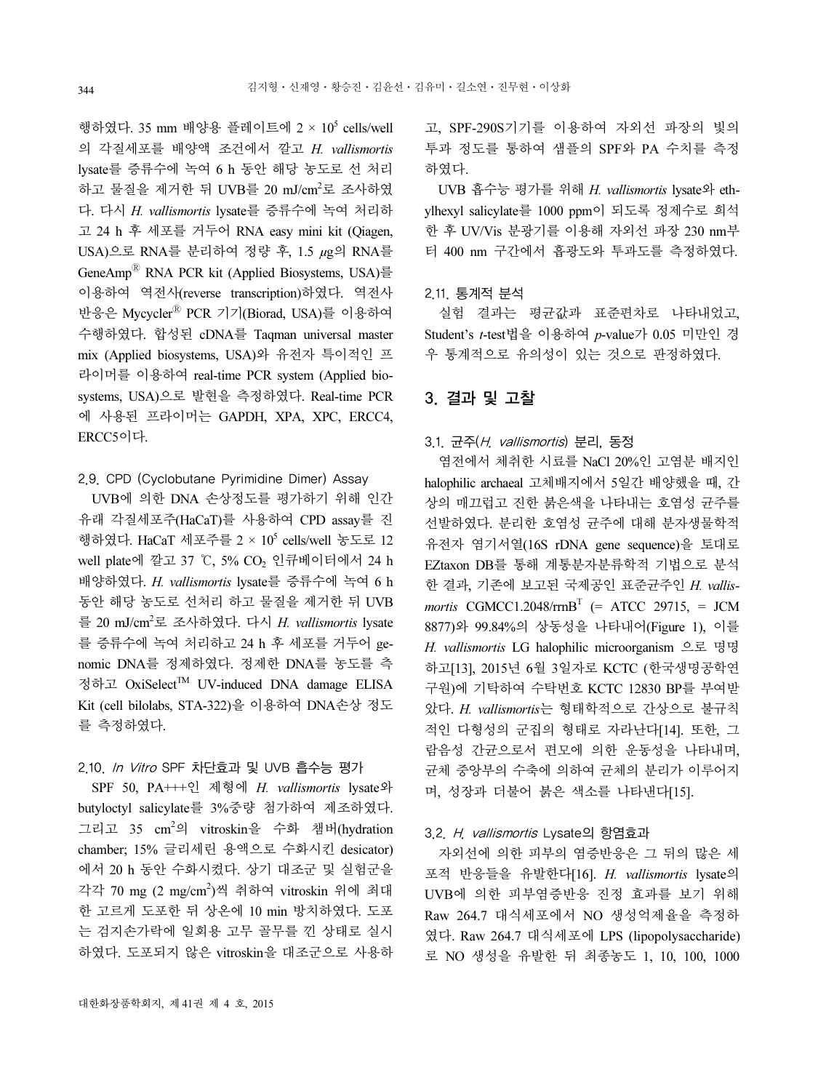행하였다. 35 mm 배양용 플레이트에 2 ×  $10^5$  cells/well 의 각질세포를 배양액 조건에서 깔고 H. vallismortis lysate를 증류수에 녹여 6 h 동안 해당 농도로 선 처리 하고 물질을 제거한 뒤 UVB를 20 mJ/cm<sup>2</sup>로 조사하였 다. 다시 H. vallismortis lysate를 증류수에 녹여 처리하 고 24 h 후 세포를 거두어 RNA easy mini kit (Qiagen, USA)으로 RNA를 분리하여 정량 후, 1.5 µg의 RNA를 GeneAmp<sup>®</sup> RNA PCR kit (Applied Biosystems, USA)를 이용하여 역전사(reverse transcription)하였다. 역전사 반응은 Mycycler<sup>®</sup> PCR 기기(Biorad, USA)를 이용하여 수행하였다. 합성된 cDNA를 Taqman universal master mix (Applied biosystems, USA)와 유전자 특이적인 프 라이머를 이용하여 real-time PCR system (Applied biosystems, USA)으로 발현을 측정하였다. Real-time PCR 에 사용된 프라이머는 GAPDH, XPA, XPC, ERCC4, ERCC5이다.

#### 2.9. CPD (Cyclobutane Pyrimidine Dimer) Assay

UVB에 의한 DNA 손상정도를 평가하기 위해 인간 유래 각질세포주(HaCaT)를 사용하여 CPD assay를 진 행하였다. HaCaT 세포주를 2 × 10<sup>5</sup> cells/well 농도로 12 well plate에 깔고 37 ℃, 5% CO<sub>2</sub> 인큐베이터에서 24 h 배양하였다. H. vallismortis lysate를 증류수에 녹여 6 h 동안 해당 농도로 선처리 하고 물질을 제거한 뒤 UVB 를 20 mJ/cm<sup>2</sup>로 조사하였다. 다시 H. vallismortis lysate 를 증류수에 녹여 처리하고 24 h 후 세포를 거두어 genomic DNA를 정제하였다. 정제한 DNA를 농도를 측 정하고 OxiSelectTM UV-induced DNA damage ELISA Kit (cell bilolabs, STA-322)을 이용하여 DNA손상 정도 를 측정하였다.

### 2.10. In Vitro SPF 차단효과 및 UVB 흡수능 평가

SPF 50, PA+++인 제형에 H. vallismortis lysate와 butyloctyl salicylate를 3%중량 첨가하여 제조하였다. 그리고 35 cm<sup>2</sup> 의 vitroskin을 수화 챔버(hydration chamber; 15% 글리세린 용액으로 수화시킨 desicator) 에서 20 h 동안 수화시켰다. 상기 대조군 및 실험군을 각각 70 mg (2 mg/cm<sup>2</sup> )씩 취하여 vitroskin 위에 최대 한 고르게 도포한 뒤 상온에 10 min 방치하였다. 도포 는 검지손가락에 일회용 고무 골무를 낀 상태로 실시 하였다. 도포되지 않은 vitroskin을 대조군으로 사용하

UVB 흡수능 평가를 위해 H. vallismortis lysate와 ethylhexyl salicylate를 1000 ppm이 되도록 정제수로 희석 한 후 UV/Vis 분광기를 이용해 자외선 파장 230 nm부 터 400 nm 구간에서 흡광도와 투과도를 측정하였다.

### 2.11. 통계적 분석

실험 결과는 평균값과 표준편차로 나타내었고, Student's t-test법을 이용하여 p-value가 0.05 미만인 경 우 통계적으로 유의성이 있는 것으로 판정하였다.

### 3. 결과 및 고찰

### 3.1. 균주(H. vallismortis) 분리, 동정

염전에서 체취한 시료를 NaCl 20%인 고염분 배지인 halophilic archaeal 고체배지에서 5일간 배양했을 때, 간 상의 매끄럽고 진한 붉은색을 나타내는 호염성 균주를 선발하였다. 분리한 호염성 균주에 대해 분자생물학적 유전자 염기서열(16S rDNA gene sequence)을 토대로 EZtaxon DB를 통해 계통분자분류학적 기법으로 분석 한 결과, 기존에 보고된 국제공인 표준균주인 H. vallismortis CGMCC1.2048/rrnB<sup>T</sup> (= ATCC 29715, = JCM 8877)와 99.84%의 상동성을 나타내어(Figure 1), 이를 H. vallismortis LG halophilic microorganism 으로 명명 하고[13], 2015년 6월 3일자로 KCTC (한국생명공학연 구원)에 기탁하여 수탁번호 KCTC 12830 BP를 부여받 았다. H. vallismortis는 형태학적으로 간상으로 불규칙 적인 다형성의 군집의 형태로 자라난다[14]. 또한, 그 람음성 간균으로서 편모에 의한 운동성을 나타내며, 균체 중앙부의 수축에 의하여 균체의 분리가 이루어지 며, 성장과 더불어 붉은 색소를 나타낸다[15].

#### 3.2. H. vallismortis Lysate의 항염효과

자외선에 의한 피부의 염증반응은 그 뒤의 많은 세 포적 반응들을 유발한다[16]. H. vallismortis lysate의 UVB에 의한 피부염증반응 진정 효과를 보기 위해 Raw 264.7 대식세포에서 NO 생성억제율을 측정하 였다. Raw 264.7 대식세포에 LPS (lipopolysaccharide) 로 NO 생성을 유발한 뒤 최종농도 1, 10, 100, 1000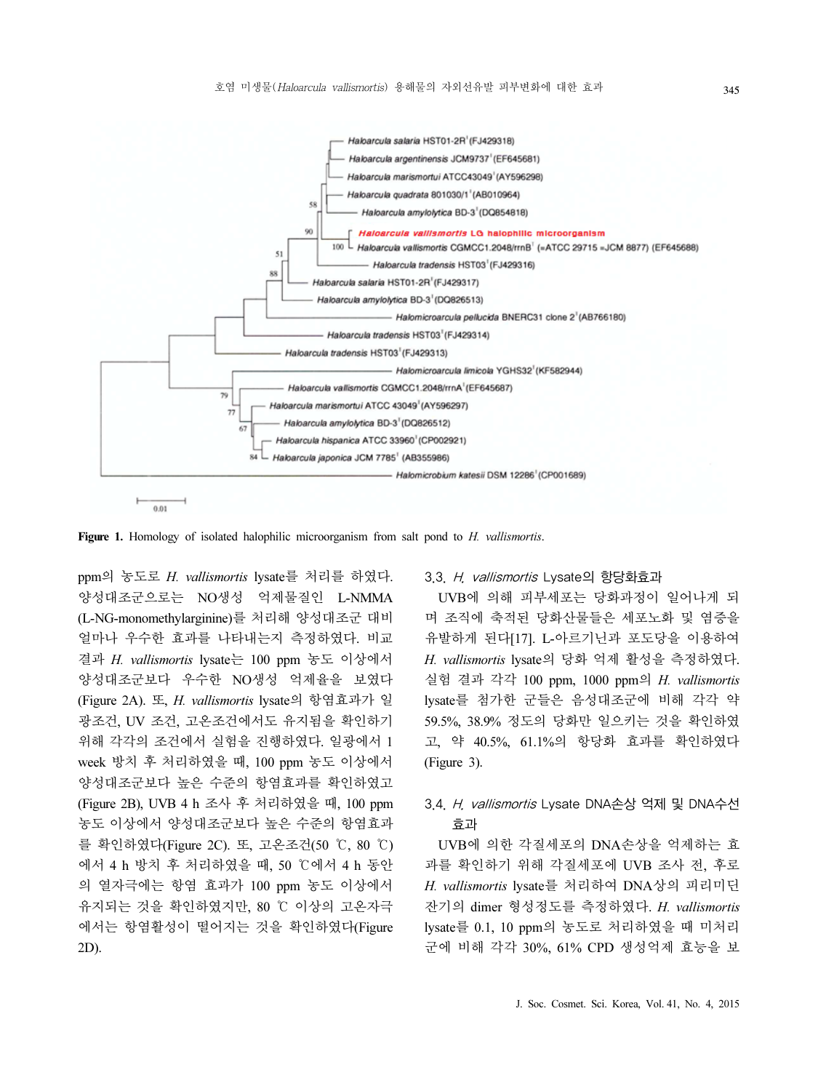

Figure 1. Homology of isolated halophilic microorganism from salt pond to H. vallismortis.

ppm의 농도로 H. vallismortis lysate를 처리를 하였다. 양성대조군으로는 NO생성 억제물질인 L-NMMA (L-NG-monomethylarginine)를 처리해 양성대조군 대비 얼마나 우수한 효과를 나타내는지 측정하였다. 비교 결과 H. vallismortis lysate는 100 ppm 농도 이상에서 양성대조군보다 우수한 NO생성 억제율을 보였다 (Figure 2A). 또, H. vallismortis lysate의 항염효과가 일 광조건, UV 조건, 고온조건에서도 유지됨을 확인하기 위해 각각의 조건에서 실험을 진행하였다. 일광에서 1 week 방치 후 처리하였을 때, 100 ppm 농도 이상에서 양성대조군보다 높은 수준의 항염효과를 확인하였고 (Figure 2B), UVB 4 h 조사 후 처리하였을 때, 100 ppm 농도 이상에서 양성대조군보다 높은 수준의 항염효과 를 확인하였다(Figure 2C). 또, 고온조건(50 ℃, 80 ℃) 에서 4 h 방치 후 처리하였을 때, 50 ℃에서 4 h 동안 의 열자극에는 항염 효과가 100 ppm 농도 이상에서 유지되는 것을 확인하였지만, 80 ℃ 이상의 고온자극 에서는 항염활성이 떨어지는 것을 확인하였다(Figure 2D).

#### 3.3. H. vallismortis Lysate의 항당화효과

UVB에 의해 피부세포는 당화과정이 일어나게 되 며 조직에 축적된 당화산물들은 세포노화 및 염증을 유발하게 된다[17]. L-아르기닌과 포도당을 이용하여 H. vallismortis lysate의 당화 억제 활성을 측정하였다. 실험 결과 각각 100 ppm, 1000 ppm의 H. vallismortis lysate를 첨가한 군들은 음성대조군에 비해 각각 약 59.5%, 38.9% 정도의 당화만 일으키는 것을 확인하였 고, 약 40.5%, 61.1%의 항당화 효과를 확인하였다 (Figure 3).

### 3.4. H. vallismortis Lysate DNA손상 억제 및 DNA수선 효과

UVB에 의한 각질세포의 DNA손상을 억제하는 효 과를 확인하기 위해 각질세포에 UVB 조사 전, 후로 H. vallismortis lysate를 처리하여 DNA상의 피리미딘 잔기의 dimer 형성정도를 측정하였다. H. vallismortis lysate를 0.1, 10 ppm의 농도로 처리하였을 때 미처리 군에 비해 각각 30%, 61% CPD 생성억제 효능을 보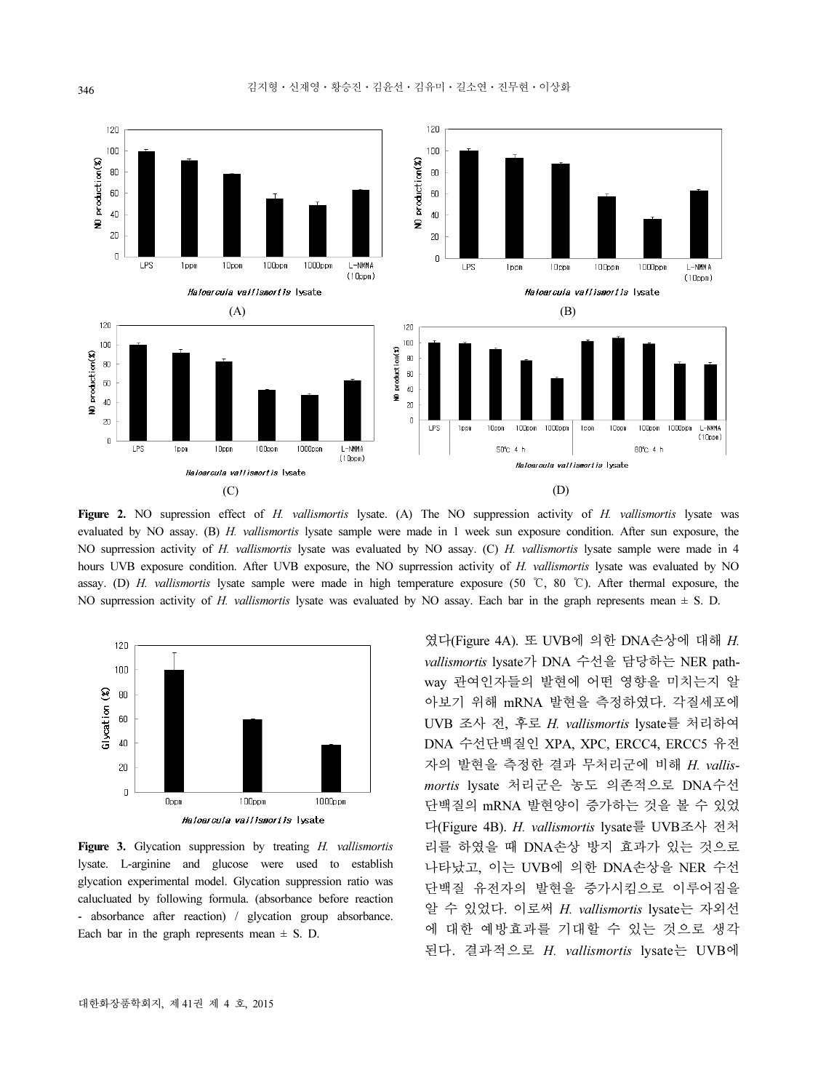

Figure 2. NO supression effect of H. vallismortis lysate. (A) The NO suppression activity of H. vallismortis lysate was evaluated by NO assay. (B) H. vallismortis lysate sample were made in 1 week sun exposure condition. After sun exposure, the NO suprression activity of H. vallismortis lysate was evaluated by NO assay. (C) H. vallismortis lysate sample were made in 4 hours UVB exposure condition. After UVB exposure, the NO suprression activity of H. vallismortis lysate was evaluated by NO assay. (D) H. vallismortis lysate sample were made in high temperature exposure (50 ℃, 80 ℃). After thermal exposure, the NO suprression activity of H. vallismortis lysate was evaluated by NO assay. Each bar in the graph represents mean  $\pm$  S. D.



Figure 3. Glycation suppression by treating H. vallismortis lysate. L-arginine and glucose were used to establish glycation experimental model. Glycation suppression ratio was calucluated by following formula. (absorbance before reaction - absorbance after reaction) / glycation group absorbance. Each bar in the graph represents mean  $\pm$  S. D.

였다(Figure 4A). 또 UVB에 의한 DNA손상에 대해 H. vallismortis lysate가 DNA 수선을 담당하는 NER pathway 관여인자들의 발현에 어떤 영향을 미치는지 알 아보기 위해 mRNA 발현을 측정하였다. 각질세포에 UVB 조사 전, 후로 H. vallismortis lysate를 처리하여 DNA 수선단백질인 XPA, XPC, ERCC4, ERCC5 유전 자의 발현을 측정한 결과 무처리군에 비해 H. vallismortis lysate 처리군은 농도 의존적으로 DNA수선 단백질의 mRNA 발현양이 증가하는 것을 볼 수 있었 다(Figure 4B). H. vallismortis lysate를 UVB조사 전처 리를 하였을 때 DNA손상 방지 효과가 있는 것으로 나타났고, 이는 UVB에 의한 DNA손상을 NER 수선 단백질 유전자의 발현을 증가시킴으로 이루어짐을 알 수 있었다. 이로써 H. vallismortis lysate는 자외선 에 대한 예방효과를 기대할 수 있는 것으로 생각 된다. 결과적으로 H. vallismortis lysate는 UVB에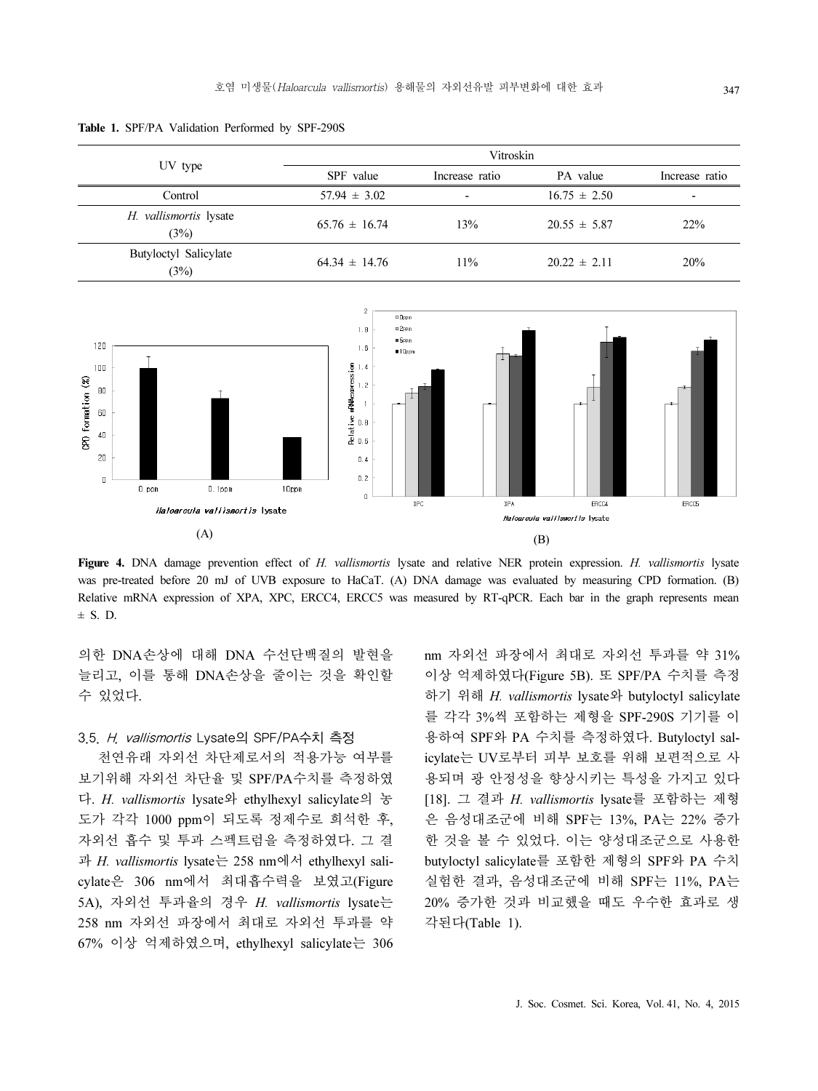Table 1. SPF/PA Validation Performed by SPF-290S

| UV type                        | Vitroskin         |                          |                  |                          |
|--------------------------------|-------------------|--------------------------|------------------|--------------------------|
|                                | SPF value         | Increase ratio           | PA value         | Increase ratio           |
| Control                        | $57.94 \pm 3.02$  | $\overline{\phantom{0}}$ | $16.75 \pm 2.50$ | $\overline{\phantom{0}}$ |
| H. vallismortis lysate<br>(3%) | $65.76 \pm 16.74$ | 13%                      | $20.55 \pm 5.87$ | 22%                      |
| Butyloctyl Salicylate<br>(3%)  | $64.34 \pm 14.76$ | $11\%$                   | $20.22 \pm 2.11$ | 20%                      |



Figure 4. DNA damage prevention effect of H. vallismortis lysate and relative NER protein expression. H. vallismortis lysate was pre-treated before 20 mJ of UVB exposure to HaCaT. (A) DNA damage was evaluated by measuring CPD formation. (B) Relative mRNA expression of XPA, XPC, ERCC4, ERCC5 was measured by RT-qPCR. Each bar in the graph represents mean  $\pm$  S. D.

의한 DNA손상에 대해 DNA 수선단백질의 발현을 늘리고, 이를 통해 DNA손상을 줄이는 것을 확인할 수 있었다.

#### 3.5. H. vallismortis Lysate의 SPF/PA수치 측정

천연유래 자외선 차단제로서의 적용가능 여부를 보기위해 자외선 차단율 및 SPF/PA수치를 측정하였 다. H. vallismortis lysate와 ethylhexyl salicylate의 농 도가 각각 1000 ppm이 되도록 정제수로 희석한 후, 자외선 흡수 및 투과 스펙트럼을 측정하였다. 그 결 과 H. vallismortis lysate는 258 nm에서 ethylhexyl salicylate은 306 nm에서 최대흡수력을 보였고(Figure 5A), 자외선 투과율의 경우 H. vallismortis lysate는 258 nm 자외선 파장에서 최대로 자외선 투과를 약 67% 이상 억제하였으며, ethylhexyl salicylate는 306 nm 자외선 파장에서 최대로 자외선 투과를 약 31% 이상 억제하였다(Figure 5B). 또 SPF/PA 수치를 측정 하기 위해 H. vallismortis lysate와 butyloctyl salicylate 를 각각 3%씩 포함하는 제형을 SPF-290S 기기를 이 용하여 SPF와 PA 수치를 측정하였다. Butyloctyl salicylate는 UV로부터 피부 보호를 위해 보편적으로 사 용되며 광 안정성을 향상시키는 특성을 가지고 있다 [18]. 그 결과 H. vallismortis lysate를 포함하는 제형 은 음성대조군에 비해 SPF는 13%, PA는 22% 증가 한 것을 볼 수 있었다. 이는 양성대조군으로 사용한 butyloctyl salicylate를 포함한 제형의 SPF와 PA 수치 실험한 결과, 음성대조군에 비해 SPF는 11%, PA는 20% 증가한 것과 비교했을 때도 우수한 효과로 생 각된다(Table 1).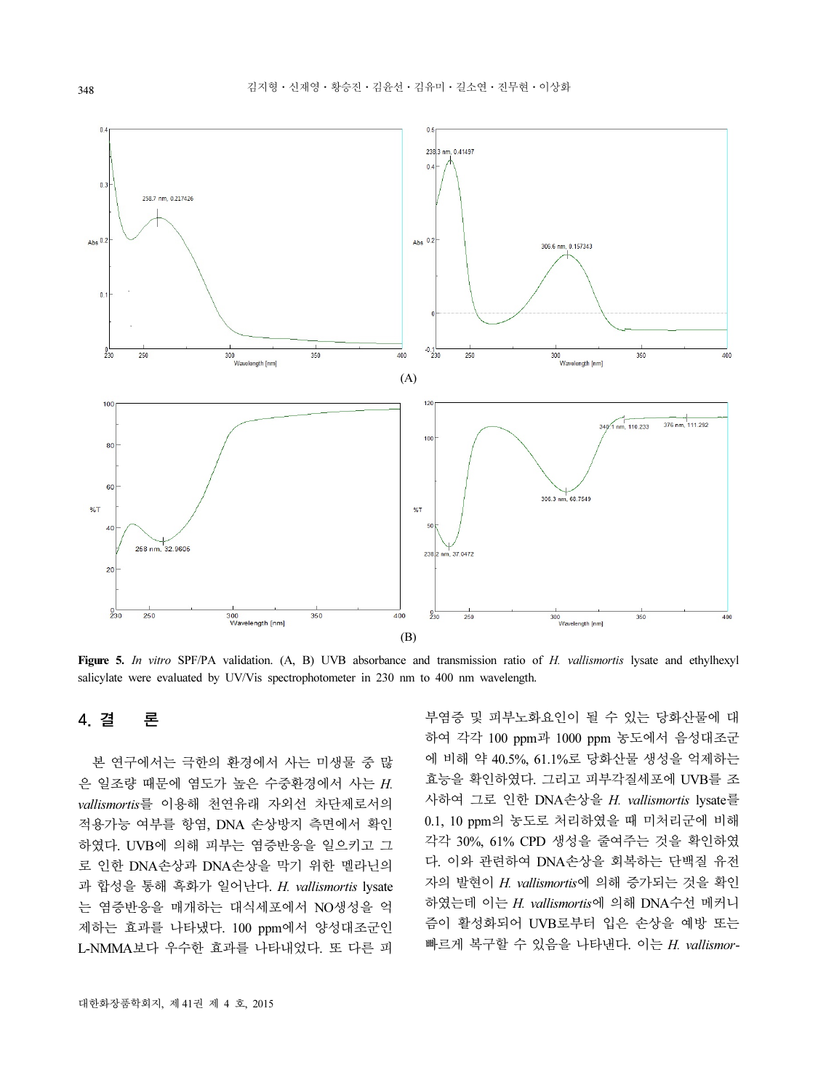

Figure 5. In vitro SPF/PA validation. (A, B) UVB absorbance and transmission ratio of H. vallismortis lysate and ethylhexyl salicylate were evaluated by UV/Vis spectrophotometer in 230 nm to 400 nm wavelength.

## 4. 결 론

본 연구에서는 극한의 환경에서 사는 미생물 중 많 은 일조량 때문에 염도가 높은 수중환경에서 사는 H. vallismortis를 이용해 천연유래 자외선 차단제로서의 적용가능 여부를 항염, DNA 손상방지 측면에서 확인 하였다. UVB에 의해 피부는 염증반응을 일으키고 그 로 인한 DNA손상과 DNA손상을 막기 위한 멜라닌의 과 합성을 통해 흑화가 일어난다. H. vallismortis lysate 는 염증반응을 매개하는 대식세포에서 NO생성을 억 제하는 효과를 나타냈다. 100 ppm에서 양성대조군인 L-NMMA보다 우수한 효과를 나타내었다. 또 다른 피

부염증 및 피부노화요인이 될 수 있는 당화산물에 대 하여 각각 100 ppm과 1000 ppm 농도에서 음성대조군 에 비해 약 40.5%, 61.1%로 당화산물 생성을 억제하는 효능을 확인하였다. 그리고 피부각질세포에 UVB를 조 사하여 그로 인한 DNA손상을 H. vallismortis lysate를 0.1, 10 ppm의 농도로 처리하였을 때 미처리군에 비해 각각 30%, 61% CPD 생성을 줄여주는 것을 확인하였 다. 이와 관련하여 DNA손상을 회복하는 단백질 유전 자의 발현이 H. vallismortis에 의해 증가되는 것을 확인 하였는데 이는 H. vallismortis에 의해 DNA수선 메커니 즘이 활성화되어 UVB로부터 입은 손상을 예방 또는 빠르게 복구할 수 있음을 나타낸다. 이는 H. vallismor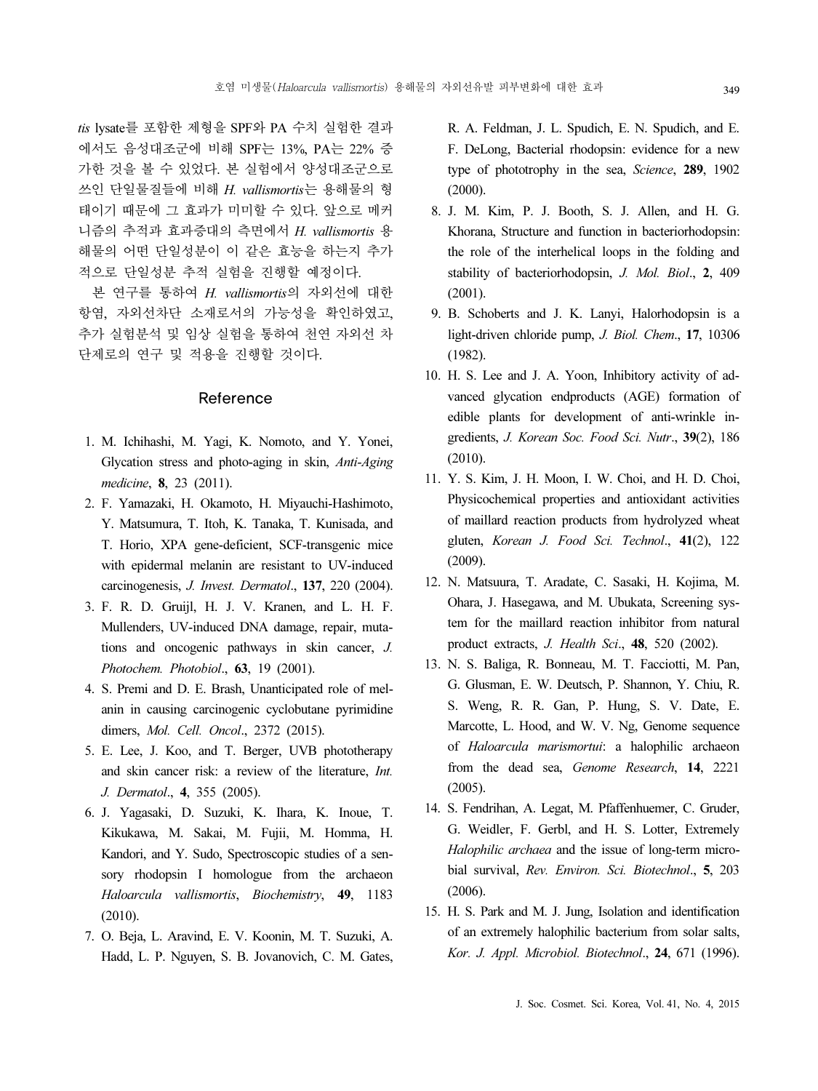tis lysate를 포함한 제형을 SPF와 PA 수치 실험한 결과 에서도 음성대조군에 비해 SPF는 13%, PA는 22% 증 가한 것을 볼 수 있었다. 본 실험에서 양성대조군으로 쓰인 단일물질들에 비해 H. vallismortis는 용해물의 형 태이기 때문에 그 효과가 미미할 수 있다. 앞으로 메커 니즘의 추적과 효과증대의 측면에서 H. vallismortis 용 해물의 어떤 단일성분이 이 같은 효능을 하는지 추가 적으로 단일성분 추적 실험을 진행할 예정이다.

본 연구를 통하여 H. vallismortis의 자외선에 대한 항염, 자외선차단 소재로서의 가능성을 확인하였고, 추가 실험분석 및 임상 실험을 통하여 천연 자외선 차 단제로의 연구 및 적용을 진행할 것이다.

#### Reference

- 1. M. Ichihashi, M. Yagi, K. Nomoto, and Y. Yonei, Glycation stress and photo-aging in skin, Anti-Aging medicine, 8, 23 (2011).
- 2. F. Yamazaki, H. Okamoto, H. Miyauchi-Hashimoto, Y. Matsumura, T. Itoh, K. Tanaka, T. Kunisada, and T. Horio, XPA gene-deficient, SCF-transgenic mice with epidermal melanin are resistant to UV-induced carcinogenesis, J. Invest. Dermatol., 137, 220 (2004).
- 3. F. R. D. Gruijl, H. J. V. Kranen, and L. H. F. Mullenders, UV-induced DNA damage, repair, mutations and oncogenic pathways in skin cancer, J. Photochem. Photobiol., 63, 19 (2001).
- 4. S. Premi and D. E. Brash, Unanticipated role of melanin in causing carcinogenic cyclobutane pyrimidine dimers, Mol. Cell. Oncol., 2372 (2015).
- 5. E. Lee, J. Koo, and T. Berger, UVB phototherapy and skin cancer risk: a review of the literature, Int. J. Dermatol., 4, 355 (2005).
- 6. J. Yagasaki, D. Suzuki, K. Ihara, K. Inoue, T. Kikukawa, M. Sakai, M. Fujii, M. Homma, H. Kandori, and Y. Sudo, Spectroscopic studies of a sensory rhodopsin I homologue from the archaeon Haloarcula vallismortis, Biochemistry, 49, 1183 (2010).
- 7. O. Beja, L. Aravind, E. V. Koonin, M. T. Suzuki, A. Hadd, L. P. Nguyen, S. B. Jovanovich, C. M. Gates,

R. A. Feldman, J. L. Spudich, E. N. Spudich, and E. F. DeLong, Bacterial rhodopsin: evidence for a new type of phototrophy in the sea, Science, 289, 1902 (2000).

- 8. J. M. Kim, P. J. Booth, S. J. Allen, and H. G. Khorana, Structure and function in bacteriorhodopsin: the role of the interhelical loops in the folding and stability of bacteriorhodopsin, J. Mol. Biol., 2, 409 (2001).
- 9. B. Schoberts and J. K. Lanyi, Halorhodopsin is a light-driven chloride pump, *J. Biol. Chem.*, 17, 10306 (1982).
- 10. H. S. Lee and J. A. Yoon, Inhibitory activity of advanced glycation endproducts (AGE) formation of edible plants for development of anti-wrinkle ingredients, J. Korean Soc. Food Sci. Nutr., 39(2), 186 (2010).
- 11. Y. S. Kim, J. H. Moon, I. W. Choi, and H. D. Choi, Physicochemical properties and antioxidant activities of maillard reaction products from hydrolyzed wheat gluten, Korean J. Food Sci. Technol., 41(2), 122 (2009).
- 12. N. Matsuura, T. Aradate, C. Sasaki, H. Kojima, M. Ohara, J. Hasegawa, and M. Ubukata, Screening system for the maillard reaction inhibitor from natural product extracts, J. Health Sci., 48, 520 (2002).
- 13. N. S. Baliga, R. Bonneau, M. T. Facciotti, M. Pan, G. Glusman, E. W. Deutsch, P. Shannon, Y. Chiu, R. S. Weng, R. R. Gan, P. Hung, S. V. Date, E. Marcotte, L. Hood, and W. V. Ng, Genome sequence of Haloarcula marismortui: a halophilic archaeon from the dead sea, Genome Research, 14, 2221 (2005).
- 14. S. Fendrihan, A. Legat, M. Pfaffenhuemer, C. Gruder, G. Weidler, F. Gerbl, and H. S. Lotter, Extremely Halophilic archaea and the issue of long-term microbial survival, Rev. Environ. Sci. Biotechnol., 5, 203 (2006).
- 15. H. S. Park and M. J. Jung, Isolation and identification of an extremely halophilic bacterium from solar salts, Kor. J. Appl. Microbiol. Biotechnol., 24, 671 (1996).